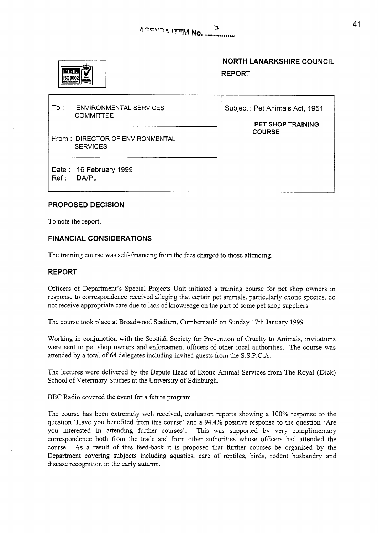

# **NORTH LANARKSHIRE COUNCIL REPORT**

| To :⊹ | <b>ENVIRONMENTAL SERVICES</b><br><b>COMMITTEE</b>  | Subject: Pet Animals Act, 1951<br><b>PET SHOP TRAINING</b><br><b>COURSE</b> |
|-------|----------------------------------------------------|-----------------------------------------------------------------------------|
|       | From: DIRECTOR OF ENVIRONMENTAL<br><b>SERVICES</b> |                                                                             |
| Ref:  | Date: 16 February 1999<br>DA/PJ                    |                                                                             |

### **PROPOSED DECISION**

To note the report.

#### **FINANCIAL CONSIDERATIONS**

The training course was self-financing from the fees charged to those attending.

#### **REPORT**

Officers of Department's Special Projects Unit initiated a training course for pet shop owners in response to correspondence received alleging that certain pet animals, particularly exotic species, do not receive appropriate care due to lack of knowledge on the part of some pet shop suppliers.

The course took place at Broadwood Stadium, Cumbernauld on Sunday 17th January 1999

Workmg in conjunction with the Scottish Society for Prevention of Cruelty to Animals, invitations were sent to pet shop owners and enforcement officers of other local authorities. The course was attended by a total of 64 delegates including invited guests from the S.S.P.C.A.

The lectures were delivered by the Depute Head of Exotic Animal Services from The Royal (Dick) School of Veterinary Studies at the University of Edinburgh.

BBC Radio covered the event for a future program.

The course has been extremely well received, evaluation reports showing a 100% response to the question 'Have you benefited from this course' and a 94.4% positive response to the question 'Are you interested in attending further courses'. This was supported by very complimentary correspondence both from the trade and from other authorities whose officers had attended the course. **As** a result of this feed-back it is proposed that further courses be organised by the Department covering subjects including aquatics, care of reptiles, birds, rodent husbandry and disease recognition in the early autumn.